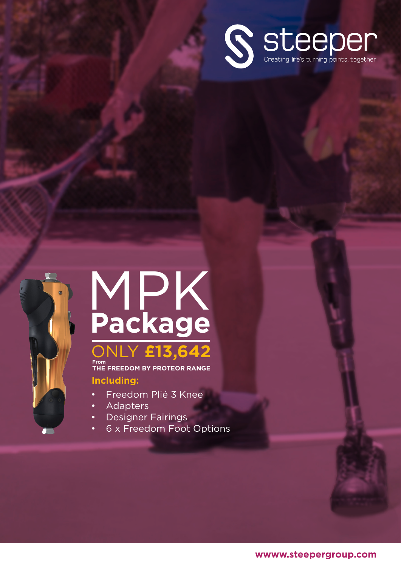



# MPK **Package** ONLY **£13,642**

**Including: From THE FREEDOM BY PROTEOR RANGE**

- Freedom Plié 3 Knee
- **Adapters**
- Designer Fairings
- 6 x Freedom Foot Options